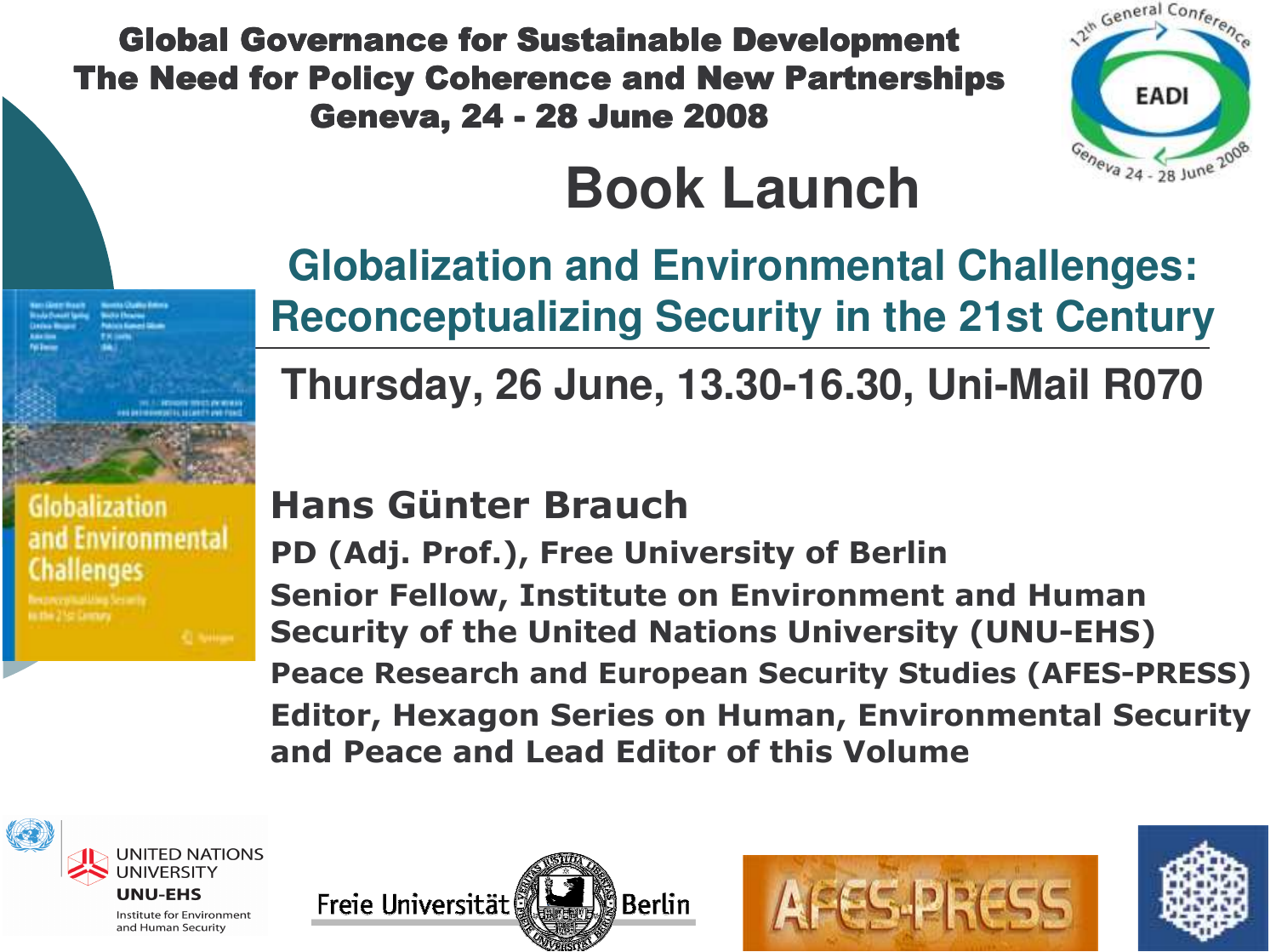#### **Global Governance for Sustainable Development The Need for Policy Coherence and New Partnerships Geneva, 24 - 28 June 2008**



## **Book Launch**

Globalization Environmental

**Globalization and Environmental Challenges: Reconceptualizing Security in the 21st Century** 

Thursday, 26 June, 13.30-16.30, Uni-Mail R070

#### **Hans Günter Brauch**

PD (Adj. Prof.), Free University of Berlin **Senior Fellow, Institute on Environment and Human Security of the United Nations University (UNU-EHS) Peace Research and European Security Studies (AFES-PRESS) Editor, Hexagon Series on Human, Environmental Security** and Peace and Lead Editor of this Volume







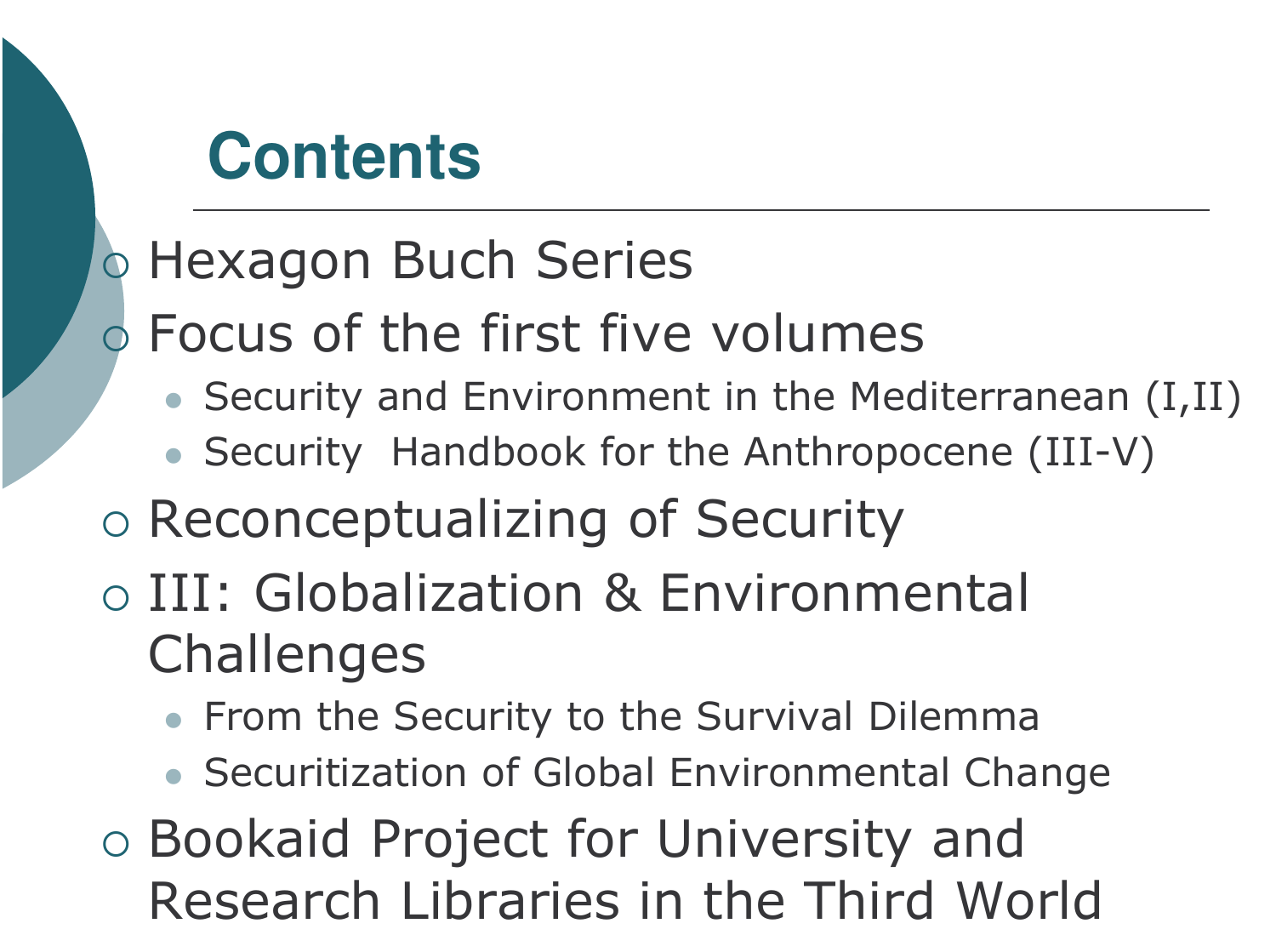# **Contents**

## **o Hexagon Buch Series**

- o Focus of the first five volumes
	- Security and Environment in the Mediterranean (I,II)
	- Security Handbook for the Anthropocene (III-V)

## o Reconceptualizing of Security

- o III: Globalization & Environmental Challenges
	- From the Security to the Survival Dilemma
	- Securitization of Global Environmental Change
- **o Bookaid Project for University and** Research Libraries in the Third World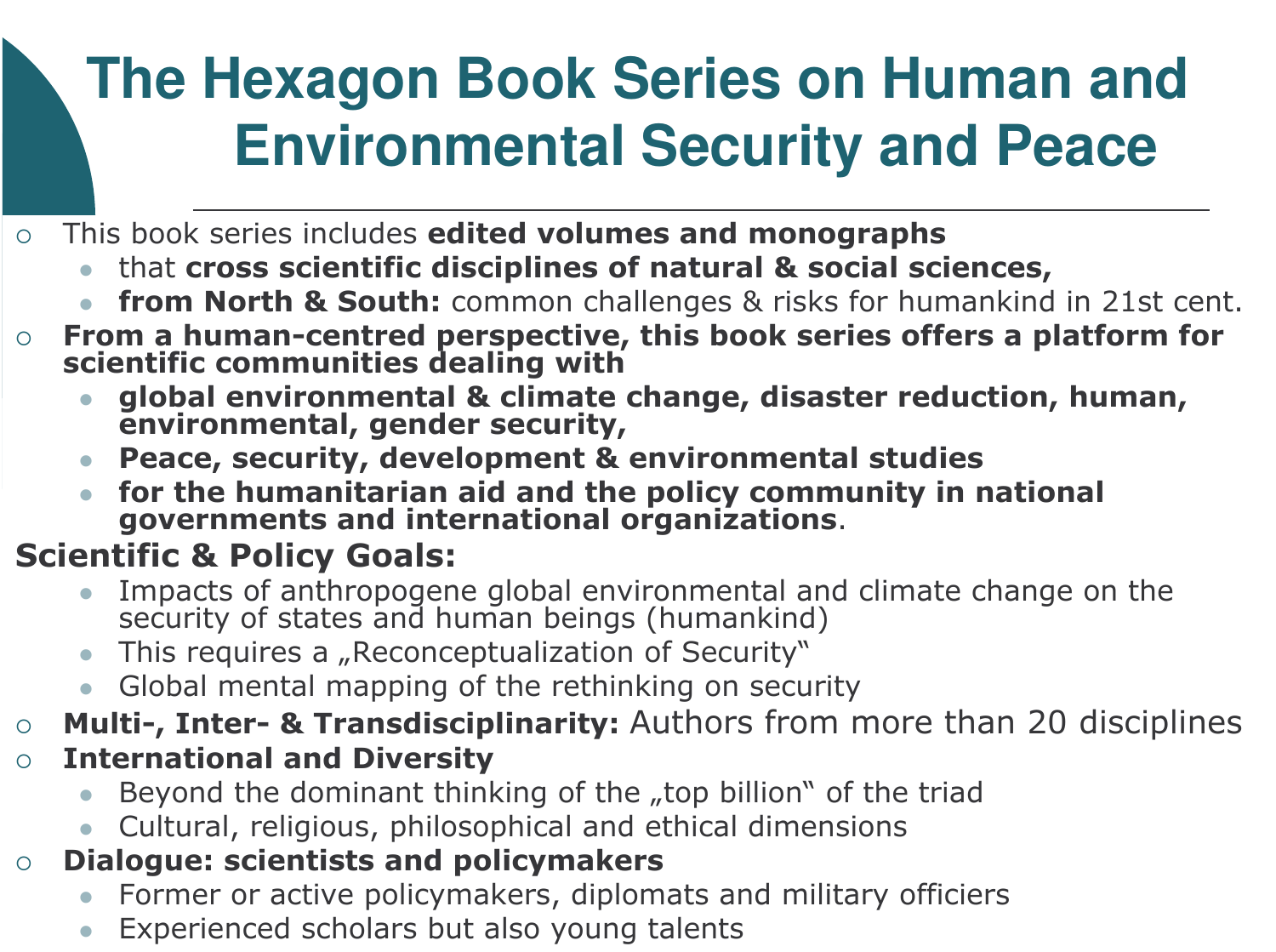## The Hexagon Book Series on Human and **Environmental Security and Peace**

- This book series includes edited volumes and monographs  $\Omega$ 
	- that cross scientific disciplines of natural & social sciences,
	- **from North & South:** common challenges & risks for humankind in 21st cent.
- From a human-centred perspective, this book series offers a platform for  $\circ$ scientific communities dealing with
	- global environmental & climate change, disaster reduction, human, environmental, gender security,
	- Peace, security, development & environmental studies
	- for the humanitarian aid and the policy community in national governments and international organizations.

#### **Scientific & Policy Goals:**

- Impacts of anthropogene global environmental and climate change on the security of states and human beings (humankind)
- This requires a "Reconceptualization of Security"
- Global mental mapping of the rethinking on security
- Multi-, Inter- & Transdisciplinarity: Authors from more than 20 disciplines  $\circ$

#### **International and Diversity**  $\circ$

- Beyond the dominant thinking of the "top billion" of the triad
- Cultural, religious, philosophical and ethical dimensions

#### **Dialogue: scientists and policymakers**  $\circ$

- Former or active policymakers, diplomats and military officiers
- Experienced scholars but also young talents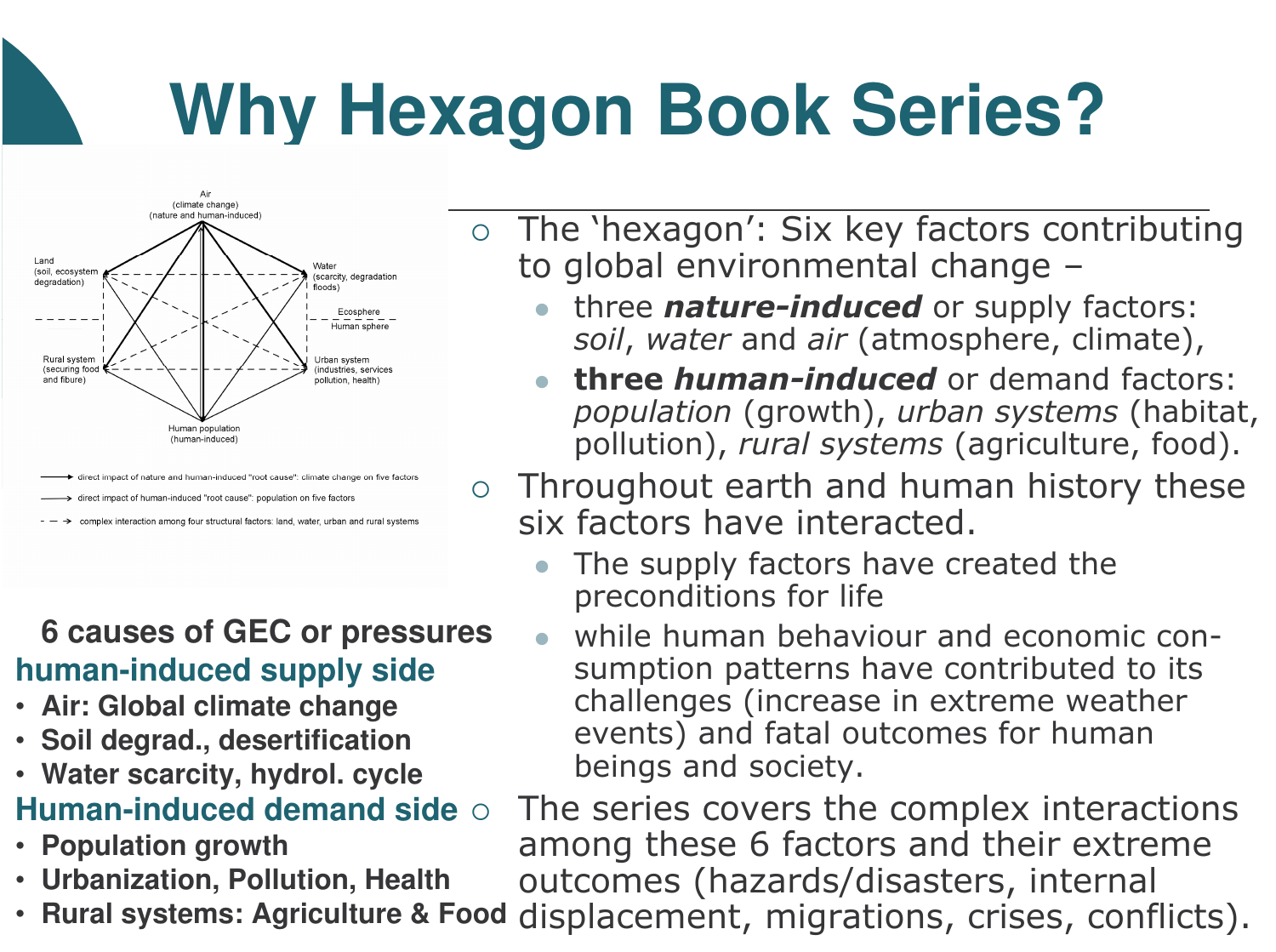# **Why Hexagon Book Series?**



- ect impact of human-induced "root cause": population on five factors
- complex interaction among four structural factors: land, water, urban and rural systems

**6 causes of GEC or pressures human-induced supply side**

- **Air: Global climate change**
- **Soil degrad., desertification**
- **Water scarcity, hydrol. cycle**

#### **Human-induced demand side**

- **Population growth**
- **Urbanization, Pollution, Health**
- displacement, migrations, crises, conflicts). • **Rural systems: Agriculture & Food**

 $\Omega$ o The 'hexagon': Six key factors contributing to global environmental change -

- -• three *nature-induced* or supply factors: soil, water and air (atmosphere, climate),
- -• three *human-induced* or demand factors: population (growth), urban systems (habitat, pollution), *rural systems* (agriculture, food).
- $\overline{O}$ o Throughout earth and human history these six factors have interacted.
	- -• The supply factors have created the preconditions for life
	- -• while human behaviour and economic consumption patterns have contributed to its challenges (increase in extreme weather events) and fatal outcomes for human beings and society.
- $\circ$  The series covers the complex interactions among these 6 factors and their extreme outcomes (hazards/disasters, internal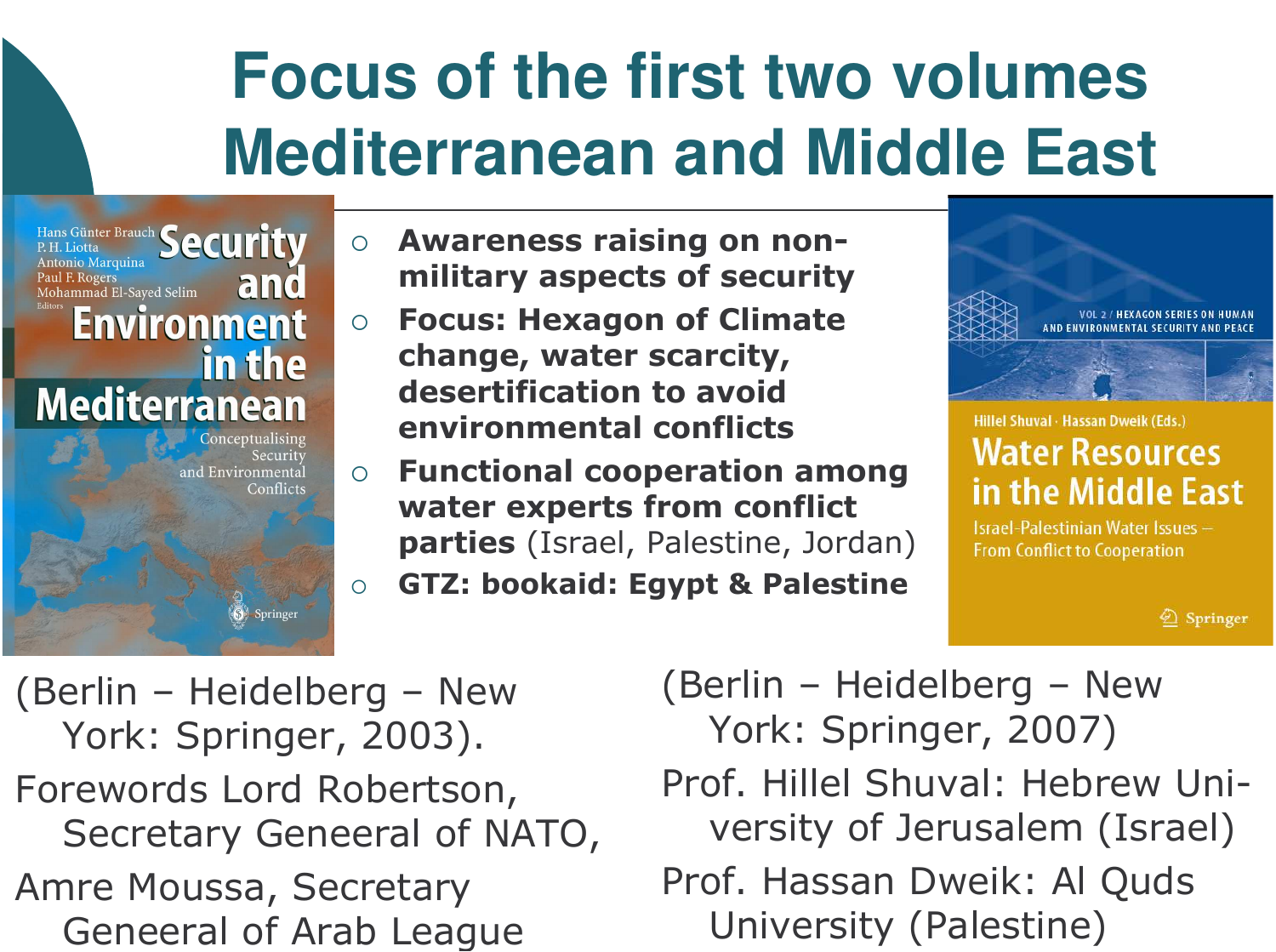# **Focus of the first two volumes Mediterranean and Middle East**

Hans Günter Brauch **Security**  $\circ$ Antonio Marquina Paul F. Rogers and Mohammad El-Sayed Selim **Environment**  $\overline{O}$ in the **Mediterranean** Conceptualising Security  $\circ$ and Environmental Conflicts  $\circ$ Springer

- **Awareness raising on non**military aspects of security
- **Focus: Hexagon of Climate** change, water scarcity, desertification to avoid environmental conflicts
- **Functional cooperation among** water experts from conflict parties (Israel, Palestine, Jordan)
- **GTZ: bookaid: Egypt & Palestine**



Hillel Shuval · Hassan Dweik (Eds.) **Water Resources** in the Middle East

Israel-Palestinian Water Issues -**From Conflict to Cooperation** 

2 Springer

(Berlin - Heidelberg - New York: Springer, 2003). Forewords Lord Robertson, Secretary Geneeral of NATO, Amre Moussa, Secretary **Geneeral of Arab League** 

(Berlin - Heidelberg - New York: Springer, 2007) Prof. Hillel Shuval: Hebrew University of Jerusalem (Israel) Prof. Hassan Dweik: Al Quds University (Palestine)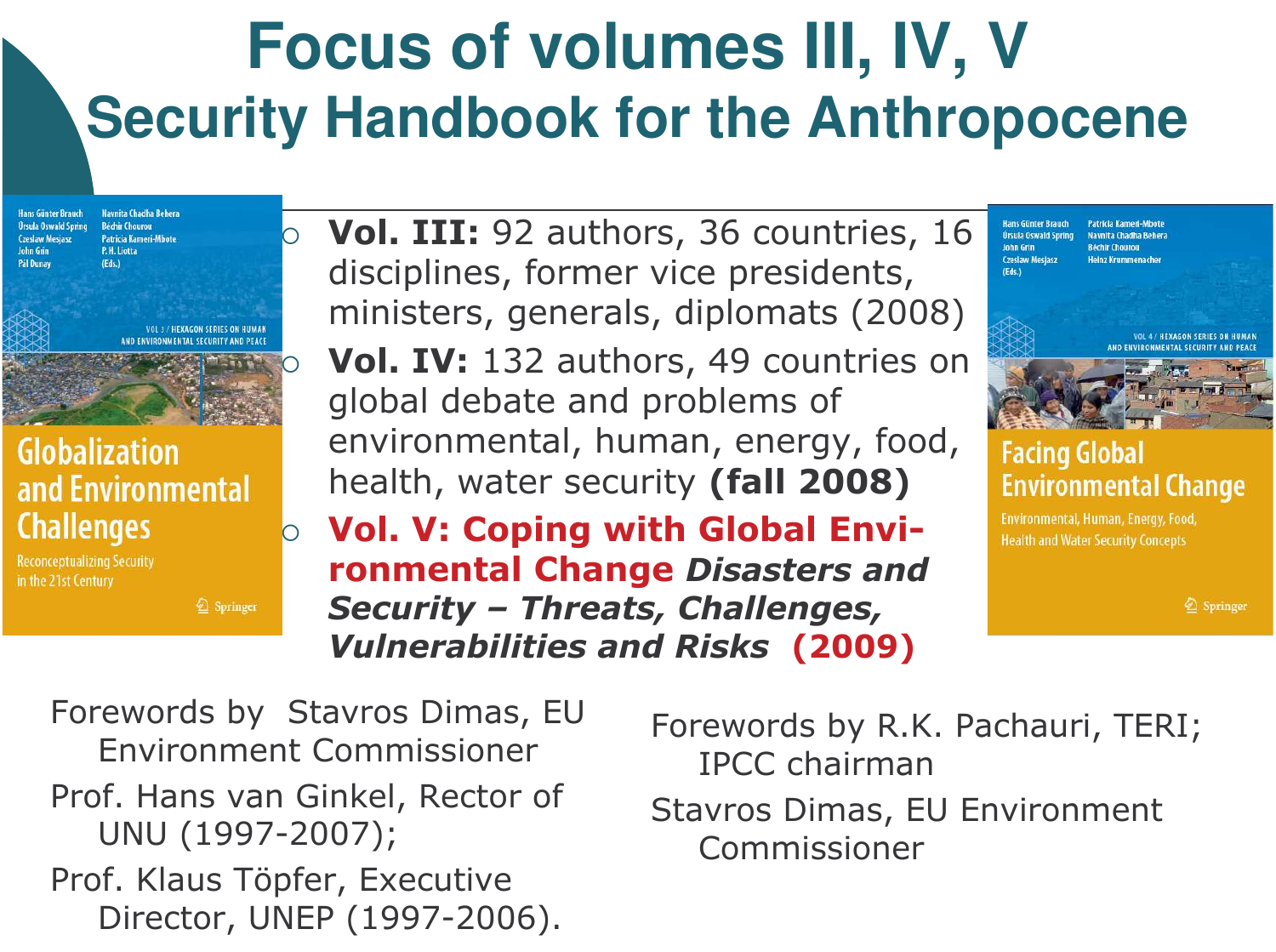## **Focus of volumes III, IV, V Security Handbook for the Anthropocene**

**Hans Günter Brauch Navnita Chadha Behera Ursula Oswald Spring Béchir Chourou Czeslaw Mesjasz** Patricia Kameri-Mbote John Grin P.H. Liotta Pál Dunay

AND FNVIRONMENTAL SECURITY AND PEAC

#### **Globalization** and Environmental **Challenges**

**Reconceptualizing Security** in the 21st Century

<sup>2</sup> Springer

Vol. III: 92 authors, 36 countries, 16 disciplines, former vice presidents, ministers, generals, diplomats (2008) Vol. IV: 132 authors, 49 countries on global debate and problems of environmental, human, energy, food, health, water security (fall 2008)

**Vol. V: Coping with Global Environmental Change Disasters and Security - Threats, Challenges, Vulnerabilities and Risks (2009)** 



#### **Facing Global Environmental Change**

Environmental, Human, Energy, Food, **Health and Water Security Concepts** 

2 Springer

Forewords by Stavros Dimas, EU **Environment Commissioner** Prof. Hans van Ginkel, Rector of UNU (1997-2007); Prof. Klaus Töpfer, Executive Director, UNEP (1997-2006).

Forewords by R.K. Pachauri, TERI; **IPCC** chairman

Stavros Dimas, EU Environment Commissioner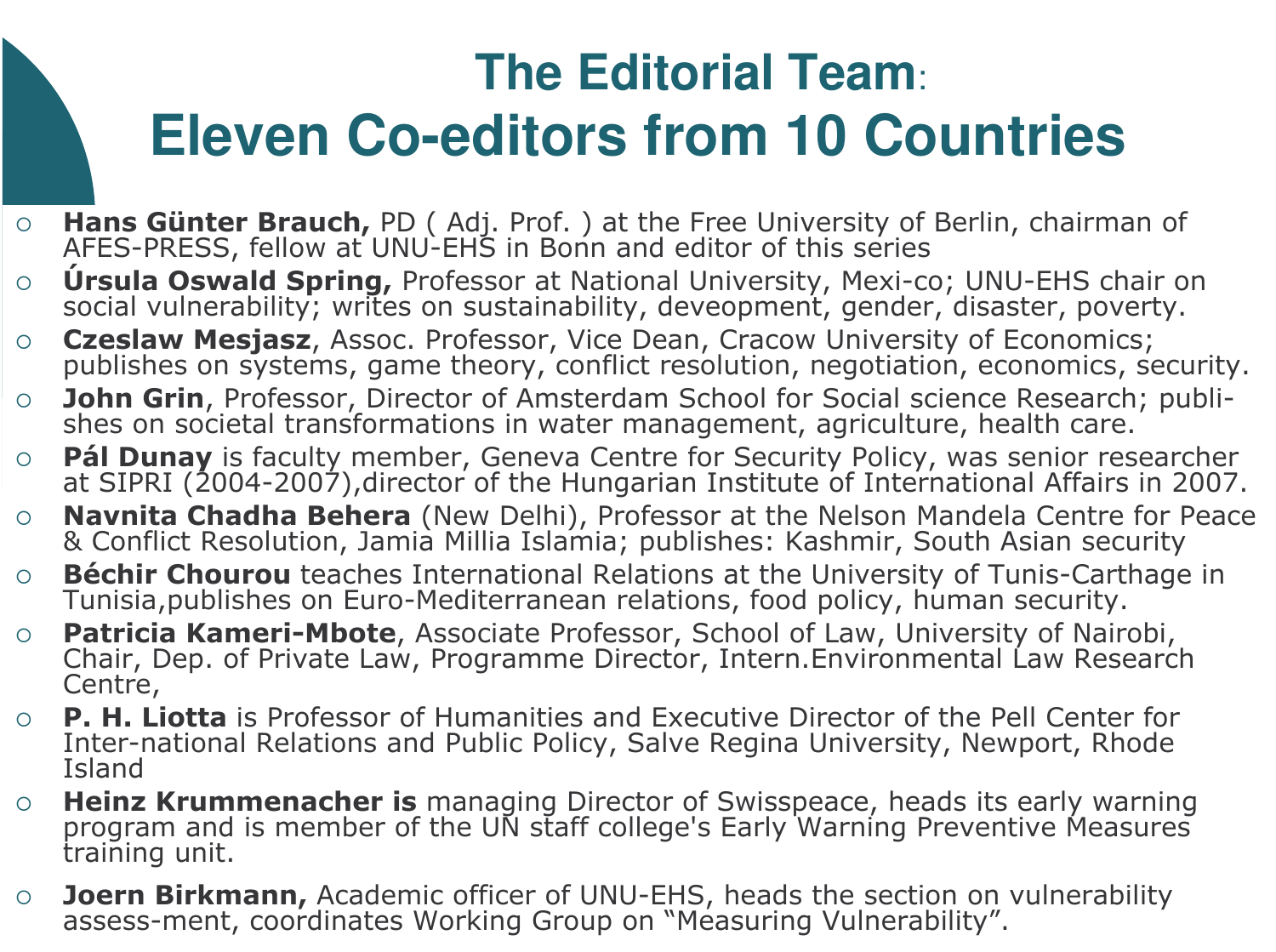## **The Editorial Team: Eleven Co-editors from 10 Countries**

- **Hans Günter Brauch, PD** (Adj. Prof.) at the Free University of Berlin, chairman of  $\circ$ AFES-PRESS, fellow at UNU-EHS in Bonn and editor of this series
- **Úrsula Oswald Spring, Professor at National University, Mexi-co; UNU-EHS chair on**  $\circ$ social vulnerability; writes on sustainability, deveopment, gender, disaster, poverty.
- **Czeslaw Mesjasz, Assoc. Professor, Vice Dean, Cracow University of Economics;**  $\circ$ publishes on systems, game theory, conflict resolution, negotiation, economics, security.
- **John Grin, Professor, Director of Amsterdam School for Social science Research; publi-** $\circ$ shes on societal transformations in water management, agriculture, health care.
- Pál Dunay is faculty member, Geneva Centre for Security Policy, was senior researcher at SIPRI (2004-2007), director of the Hungarian Institute of International Affairs in 2007.  $\circ$
- Navnita Chadha Behera (New Delhi), Professor at the Nelson Mandela Centre for Peace  $\circ$ & Conflict Resolution, Jamia Millia Islamia; publishes: Kashmir, South Asian security
- **Béchir Chourou** teaches International Relations at the University of Tunis-Carthage in  $\Omega$ Tunisia, publishes on Euro-Mediterranean relations, food policy, human security.
- Patricia Kameri-Mbote, Associate Professor, School of Law, University of Nairobi,  $\circ$ Chair, Dep. of Private Law, Programme Director, Intern. Environmental Law Research Centre,
- P. H. Liotta is Professor of Humanities and Executive Director of the Pell Center for Inter-national Relations and Public Policy, Salve Regina University, Newport, Rhode **Island**
- Heinz Krummenacher is managing Director of Swisspeace, heads its early warning program and is member of the UN staff college's Early Warning Preventive Measures  $\circ$ training unit.
- Joern Birkmann, Academic officer of UNU-EHS, heads the section on vulnerability assess-ment, coordinates Working Group on "Measuring Vulnerability".  $\circ$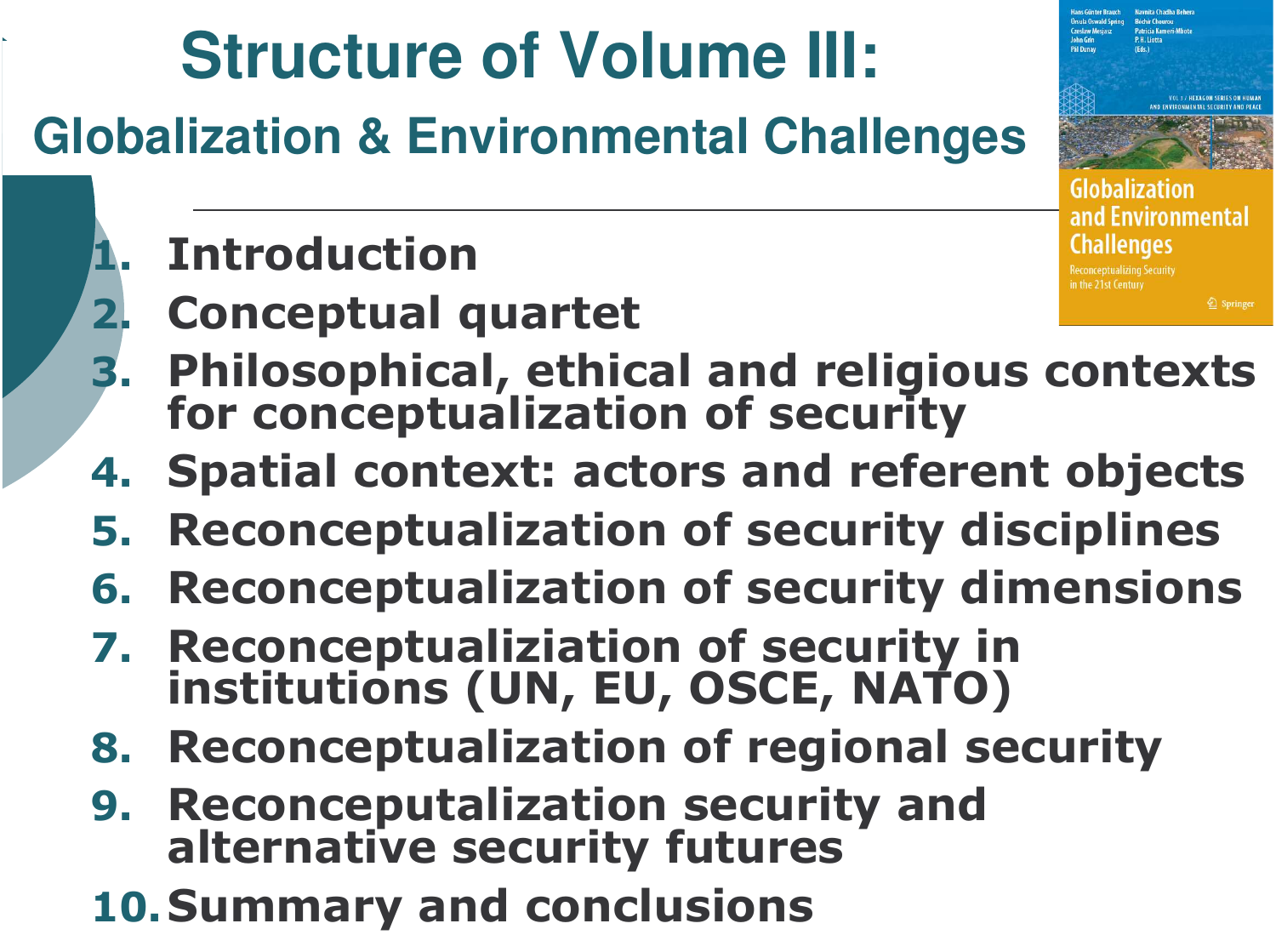# **Structure of Volume III:**

### **Globalization & Environmental Challenges**

### **Introduction**

2. Conceptual quartet



- 
- Philosophical, ethical and religious contexts<br>for conceptualization of security
- **Spatial context: actors and referent objects**  $4.$
- **Reconceptualization of security disciplines** 5.
- **Reconceptualization of security dimensions** 6.
- Reconceptualiziation of security in<br>institutions (UN, EU, OSCE, NATO)  $\mathbf{Z}_{\mathbf{u}}$
- 8. Reconceptualization of regional security
- **Reconceputalization security and** 9. alternative security futures
- **10. Summary and conclusions**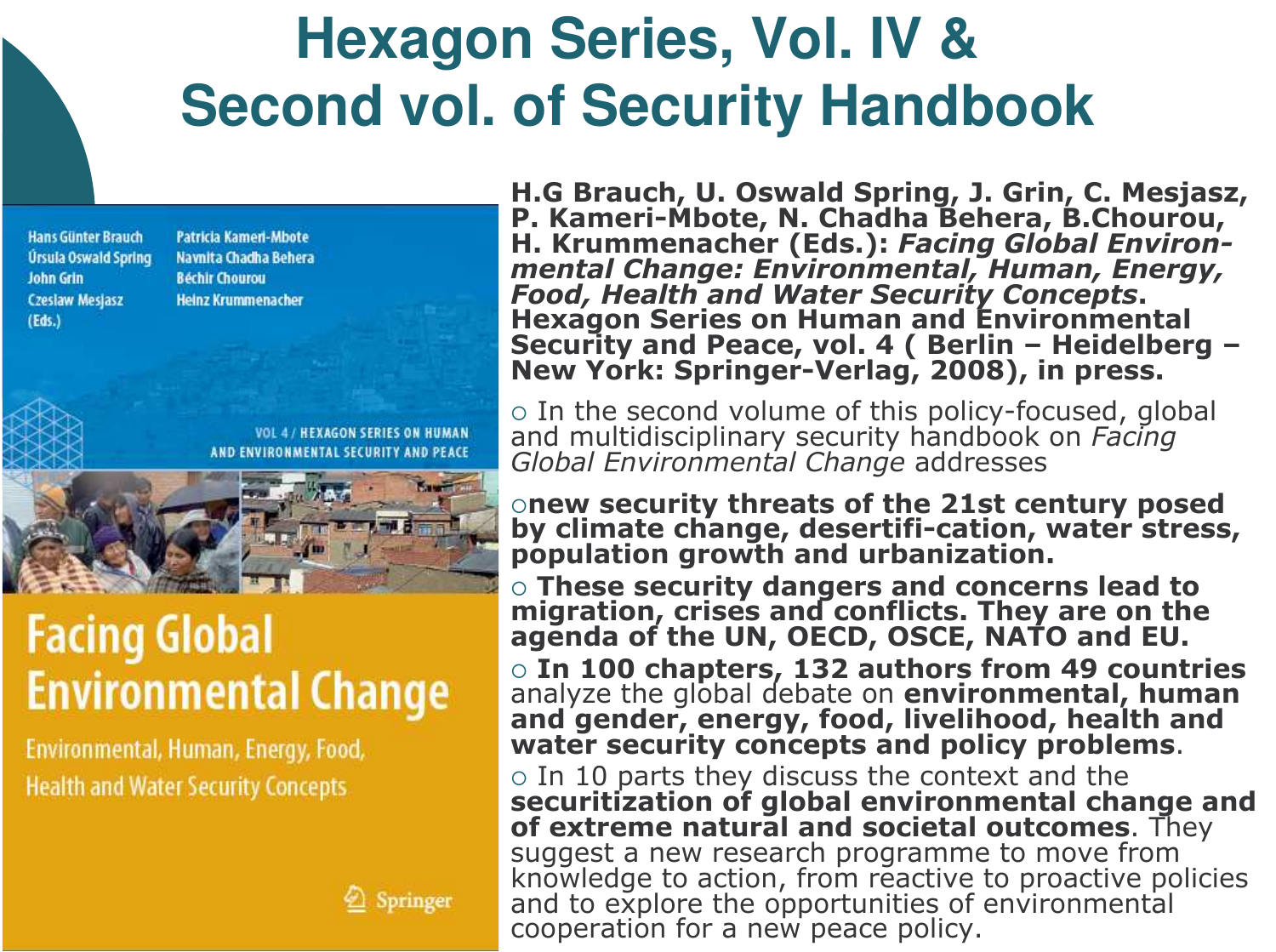## **Hexagon Series, Vol. IV & Second vol. of Security Handbook**

**Hans Günter Brauch Úrsula Oswald Spring John Grin Czesław Mesiasz**  $(Eds.)$ 

**Patricia Kameri-Mbote** Navnita Chadha Behera **Béchir Chourou Heinz Krummenacher** 

> **VOL 4/ HEXAGON SERIES ON HUMAN** AND ENVIRONMENTAL SECURITY AND PEACE



### **Facing Global Environmental Change**

Environmental, Human, Energy, Food, **Health and Water Security Concepts** 

2 Springer

H.G Brauch, U. Oswald Spring, J. Grin, C. Mesjasz, P. Kameri-Mbote, N. Chadha Behera, B.Chourou, H. Krummenacher (Eds.): Facing Global Environmental Change: Environmental, Human, Energy, **Food, Health and Water Security Concepts. Hexagon Series on Human and Environmental** Security and Peace, vol. 4 (Berlin - Heidelberg -<br>New York: Springer-Verlag, 2008), in press.

o In the second volume of this policy-focused, global<br>and multidisciplinary security handbook on *Facing* Global Environmental Change addresses

onew security threats of the 21st century posed by climate change, desertifi-cation, water stress, population growth and urbanization.

**o These security dangers and concerns lead to** migration, crises and conflicts. They are on the agenda of the UN, OECD, OSCE, NATO and EU. o In 100 chapters, 132 authors from 49 countries analyze the global debate on **environmental, human** and gender, energy, food, livelihood, health and water security concepts and policy problems.

o In 10 parts they discuss the context and the securitization of global environmental change and of extreme natural and societal outcomes. They suggest a new research programme to move from knowledge to action, from reactive to proactive policies and to explore the opportunities of environmental cooperation for a new peace policy.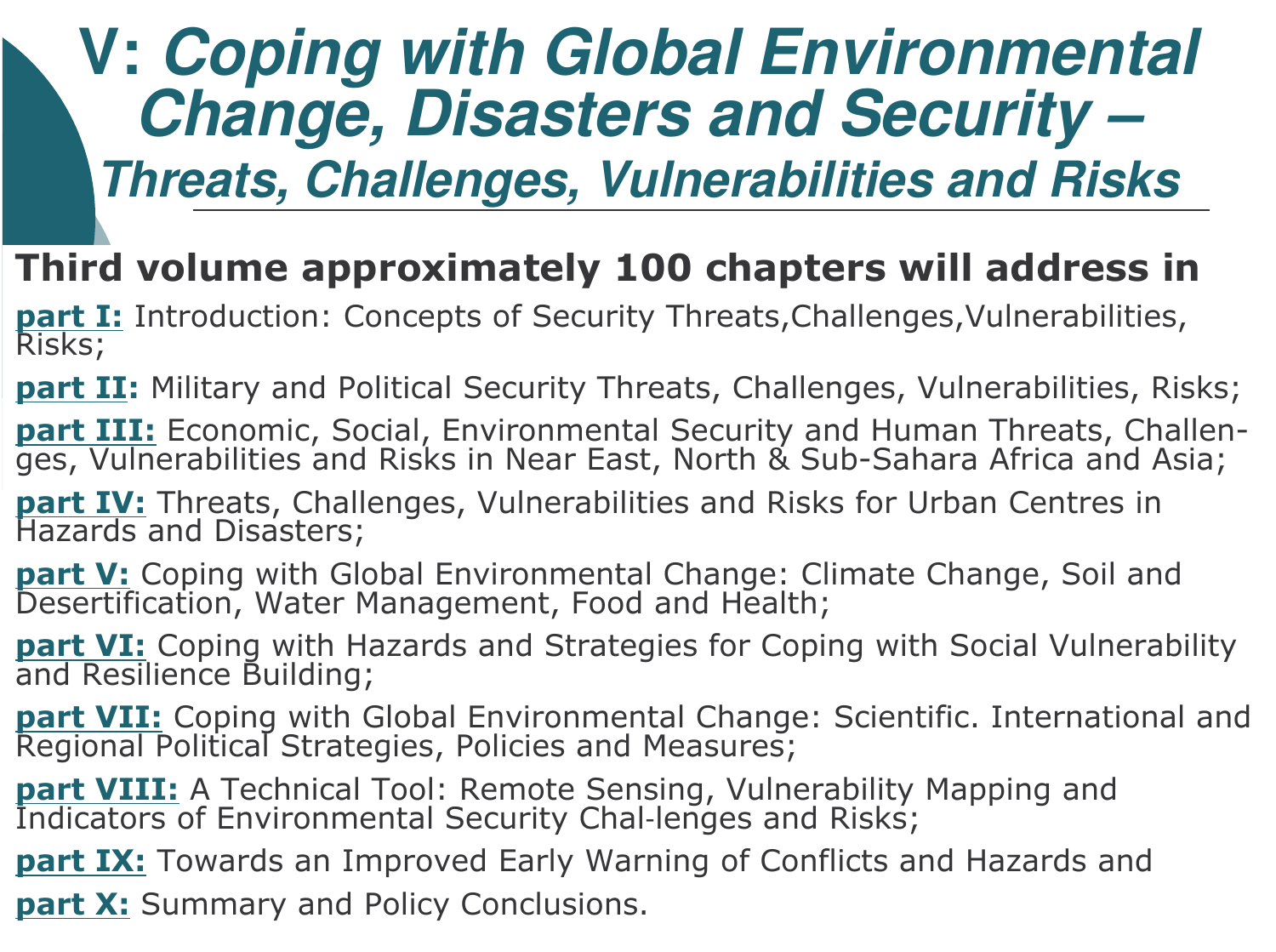## V: Coping with Global Environmental **Change, Disasters and Security -**

**Threats, Challenges, Vulnerabilities and Risks** 

#### Third volume approximately 100 chapters will address in

**part I:** Introduction: Concepts of Security Threats, Challenges, Vulnerabilities, Risks;

**part II:** Military and Political Security Threats, Challenges, Vulnerabilities, Risks;

part III: Economic, Social, Environmental Security and Human Threats, Challen-<br>ges, Vulnerabilities and Risks in Near East, North & Sub-Sahara Africa and Asia;

**part IV:** Threats, Challenges, Vulnerabilities and Risks for Urban Centres in Hazards and Disasters:

part V: Coping with Global Environmental Change: Climate Change, Soil and Desertification, Water Management, Food and Health;

**part VI:** Coping with Hazards and Strategies for Coping with Social Vulnerability and Resilience Building;

part VII: Coping with Global Environmental Change: Scientific. International and Regional Political Strategies, Policies and Measures;

part VIII: A Technical Tool: Remote Sensing, Vulnerability Mapping and Indicators of Environmental Security Chal-lenges and Risks;

**part IX:** Towards an Improved Early Warning of Conflicts and Hazards and **part X:** Summary and Policy Conclusions.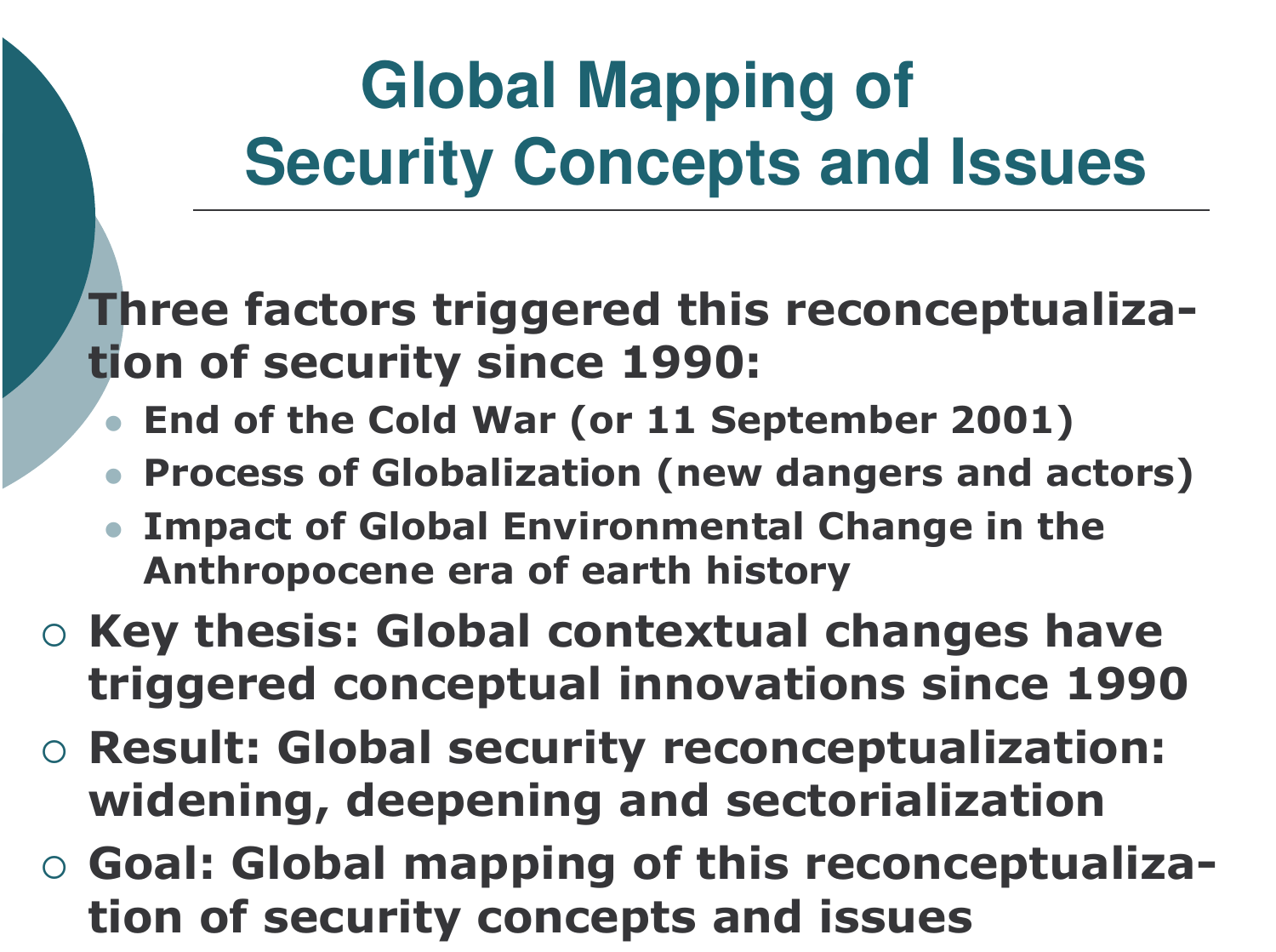# **Global Mapping of Security Concepts and Issues**

#### **Three factors triggered this reconceptualiza**tion of security since 1990:

- End of the Cold War (or 11 September 2001)
- **Process of Globalization (new dangers and actors)**
- **Impact of Global Environmental Change in the**  $\bullet$ Anthropocene era of earth history
- Key thesis: Global contextual changes have triggered conceptual innovations since 1990
- Result: Global security reconceptualization: widening, deepening and sectorialization
- Goal: Global mapping of this reconceptualization of security concepts and issues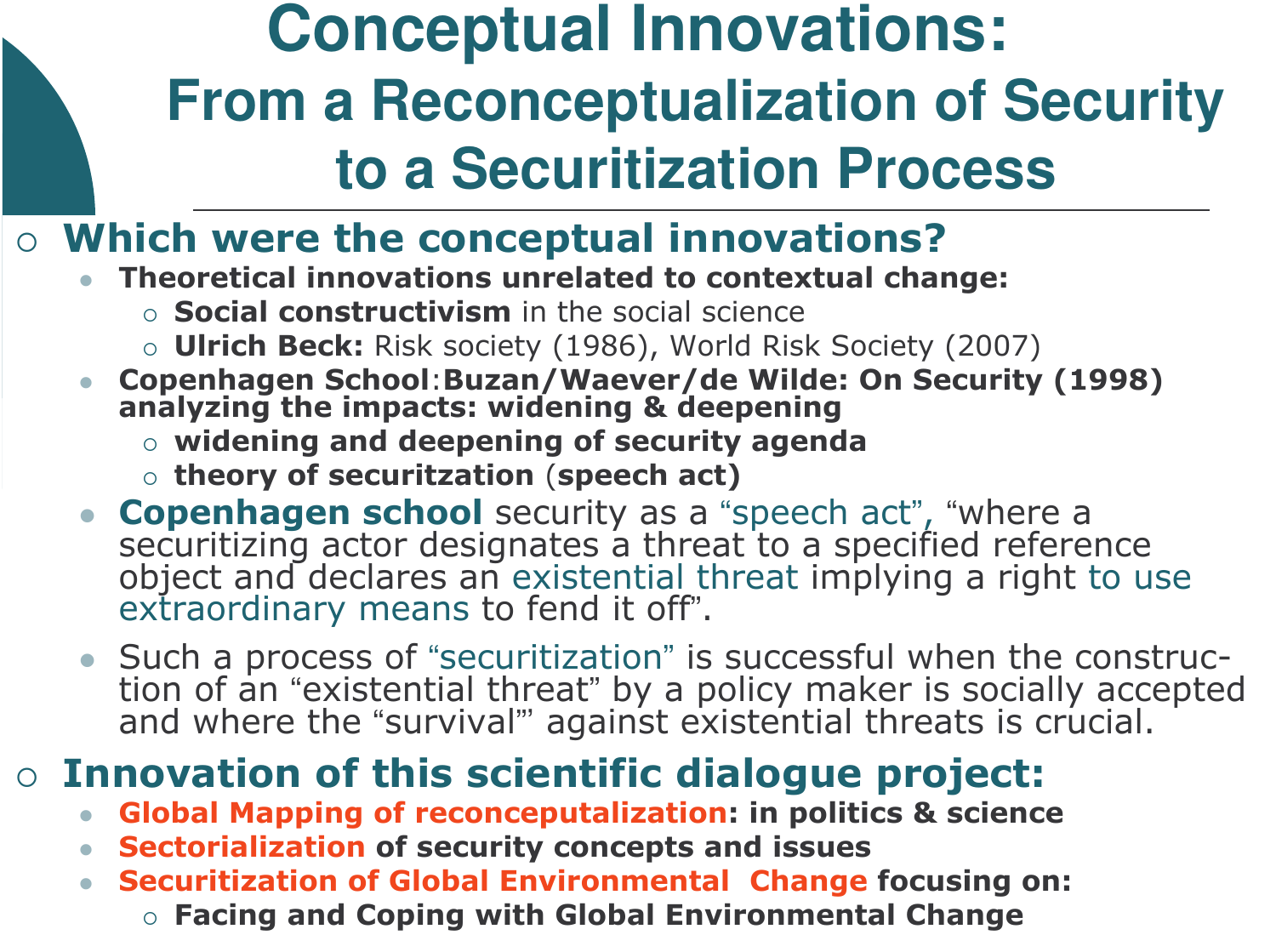## **Conceptual Innovations: From a Reconceptualization of Security** to a Securitization Process

#### ○ Which were the conceptual innovations?

- Theoretical innovations unrelated to contextual change:
	- o Social constructivism in the social science
	- o **Ulrich Beck:** Risk society (1986), World Risk Society (2007)
- Copenhagen School: Buzan/Waever/de Wilde: On Security (1998)<br>analyzing the impacts: widening & deepening
	- o widening and deepening of security agenda
	- o theory of securitzation (speech act)
- Copenhagen school security as a "speech act", "where a securitizing actor designates a threat to a specified reference object and declares an existential threat implying a right to use extraordinary means to fend it off".
- Such a process of "securitization" is successful when the construction of an "existential threat" by a policy maker is socially accepted and where the "survival" against existential threats is crucial.

#### **o Innovation of this scientific dialogue project:**

- Global Mapping of reconceputalization: in politics & science
- Sectorialization of security concepts and issues
- Securitization of Global Environmental Change focusing on:
	- **o Facing and Coping with Global Environmental Change**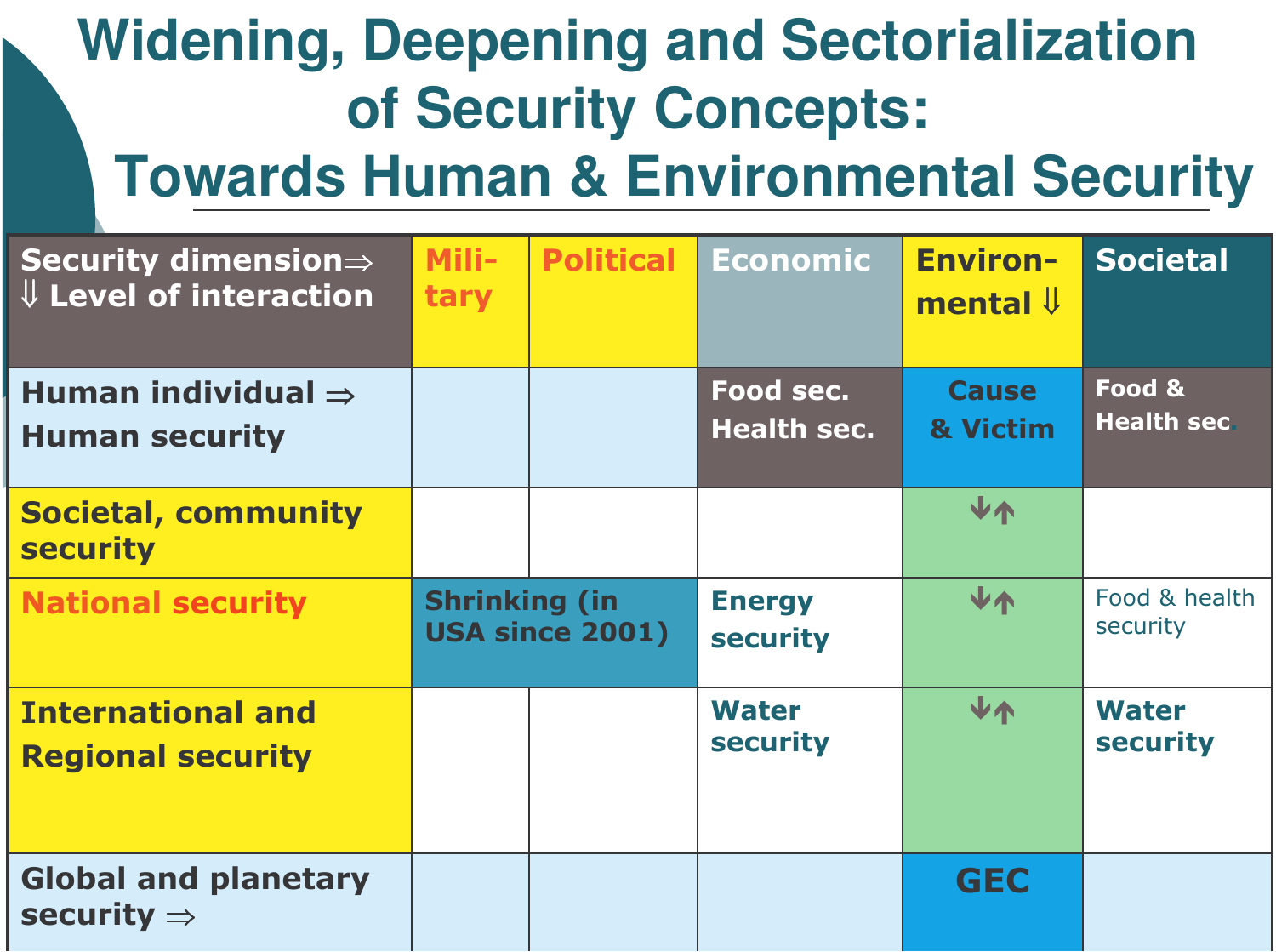# **Widening, Deepening and Sectorialization** of Security Concepts:

## **Towards Human & Environmental Security**

| Security dimension $\Rightarrow$<br>$\Downarrow$ Level of interaction | Mili-<br><b>tary</b>                           | <b>Political</b> | <b>Economic</b>                  | <b>Environ-</b><br>mental $\mathsf{\downarrow}$ | <b>Societal</b>                 |
|-----------------------------------------------------------------------|------------------------------------------------|------------------|----------------------------------|-------------------------------------------------|---------------------------------|
| Human individual $\Rightarrow$<br><b>Human security</b>               |                                                |                  | Food sec.<br><b>Health sec.</b>  | <b>Cause</b><br>& Victim                        | Food &<br><b>Health sec.</b>    |
| <b>Societal, community</b><br><b>security</b>                         |                                                |                  |                                  | マイ                                              |                                 |
| <b>National security</b>                                              | <b>Shrinking (in</b><br><b>USA since 2001)</b> |                  | <b>Energy</b><br><b>security</b> | 业不                                              | Food & health<br>security       |
| <b>International and</b><br><b>Regional security</b>                  |                                                |                  | <b>Water</b><br><b>security</b>  | $\mathbf{v}$                                    | <b>Water</b><br><b>security</b> |
| <b>Global and planetary</b><br>security $\Rightarrow$                 |                                                |                  |                                  | <b>GEC</b>                                      |                                 |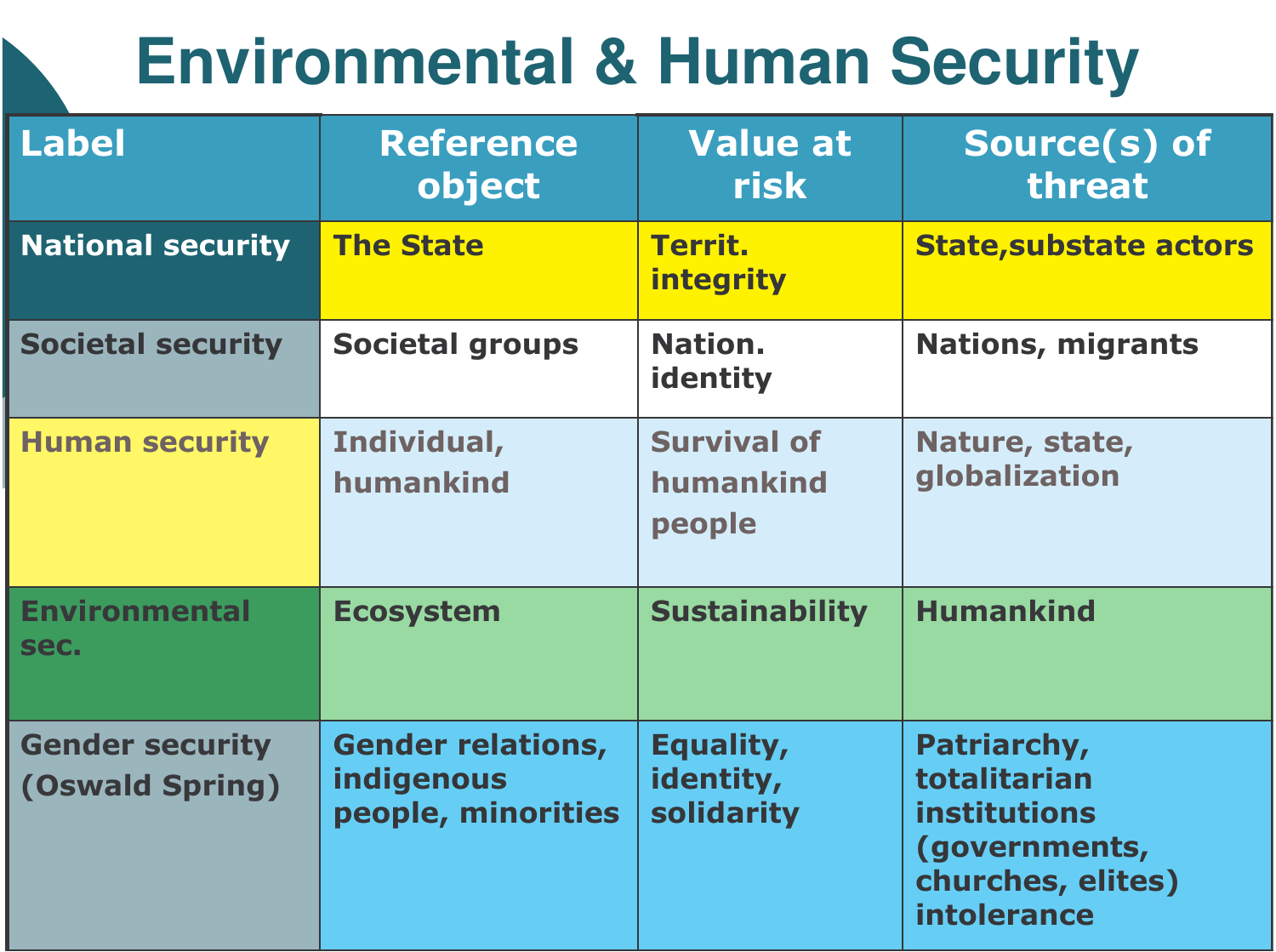# **Environmental & Human Security**

| <b>Label</b>                              | <b>Reference</b><br>object                                          | <b>Value at</b><br>risk                   | Source(s) of<br>threat                                                                                  |
|-------------------------------------------|---------------------------------------------------------------------|-------------------------------------------|---------------------------------------------------------------------------------------------------------|
| <b>National security</b>                  | <b>The State</b>                                                    | <b>Territ.</b><br><b>integrity</b>        | <b>State, substate actors</b>                                                                           |
| <b>Societal security</b>                  | <b>Societal groups</b>                                              | Nation.<br>identity                       | <b>Nations, migrants</b>                                                                                |
| <b>Human security</b>                     | Individual,<br>humankind                                            | <b>Survival of</b><br>humankind<br>people | Nature, state,<br>globalization                                                                         |
| <b>Environmental</b><br>sec.              | <b>Ecosystem</b>                                                    | <b>Sustainability</b>                     | <b>Humankind</b>                                                                                        |
| <b>Gender security</b><br>(Oswald Spring) | <b>Gender relations,</b><br><b>indigenous</b><br>people, minorities |                                           | Patriarchy,<br>totalitarian<br><b>institutions</b><br>(governments,<br>churches, elites)<br>intolerance |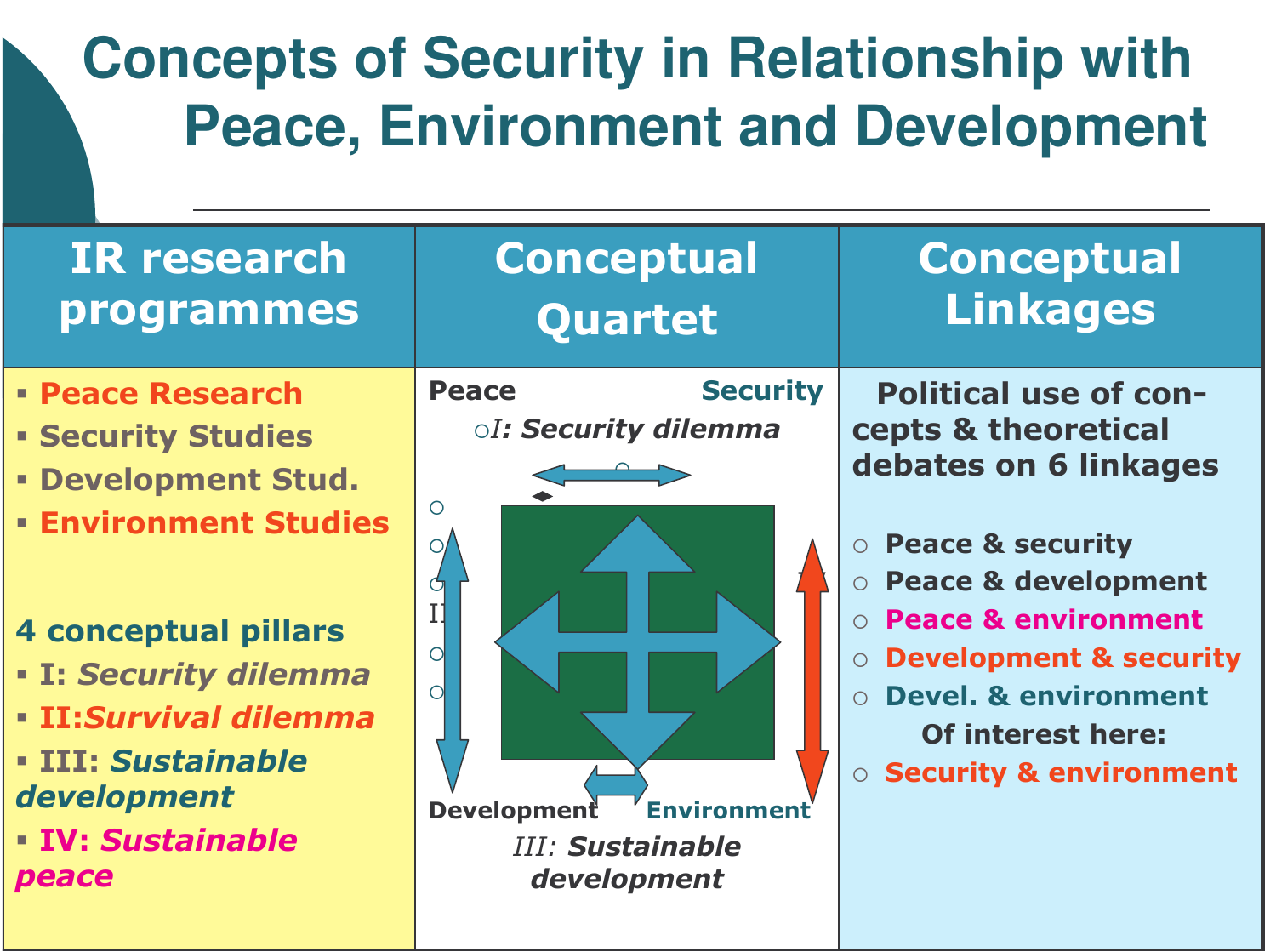## **Concepts of Security in Relationship with Peace, Environment and Development**

| <b>IR research</b>                                                                                                                                                                                                                                                                        | <b>Conceptual</b>                                                                                                                                                                                                  | <b>Conceptual</b>                                                                                                                                                                                                                                                                                   |
|-------------------------------------------------------------------------------------------------------------------------------------------------------------------------------------------------------------------------------------------------------------------------------------------|--------------------------------------------------------------------------------------------------------------------------------------------------------------------------------------------------------------------|-----------------------------------------------------------------------------------------------------------------------------------------------------------------------------------------------------------------------------------------------------------------------------------------------------|
| programmes                                                                                                                                                                                                                                                                                | Quartet                                                                                                                                                                                                            | <b>Linkages</b>                                                                                                                                                                                                                                                                                     |
| <b>• Peace Research</b><br><b>- Security Studies</b><br><b>- Development Stud.</b><br><b>Environment Studies</b><br>4 conceptual pillars<br><b>- I: Security dilemma</b><br><b>· II:Survival dilemma</b><br><b>· III: Sustainable</b><br>development<br><b>- IV: Sustainable</b><br>peace | <b>Security</b><br><b>Peace</b><br>oI: Security dilemma<br>$\circ$<br>$\overline{O}$<br>$\mathrm{I}^{\cdot}$<br>$\circ$<br>d<br><b>Development</b><br><b>Environment</b><br><b>III: Sustainable</b><br>development | <b>Political use of con-</b><br>cepts & theoretical<br>debates on 6 linkages<br>O Peace & security<br>O Peace & development<br>○ Peace & environment<br><b>O Development &amp; security</b><br><b>O Devel. &amp; environment</b><br><b>Of interest here:</b><br><b>O Security &amp; environment</b> |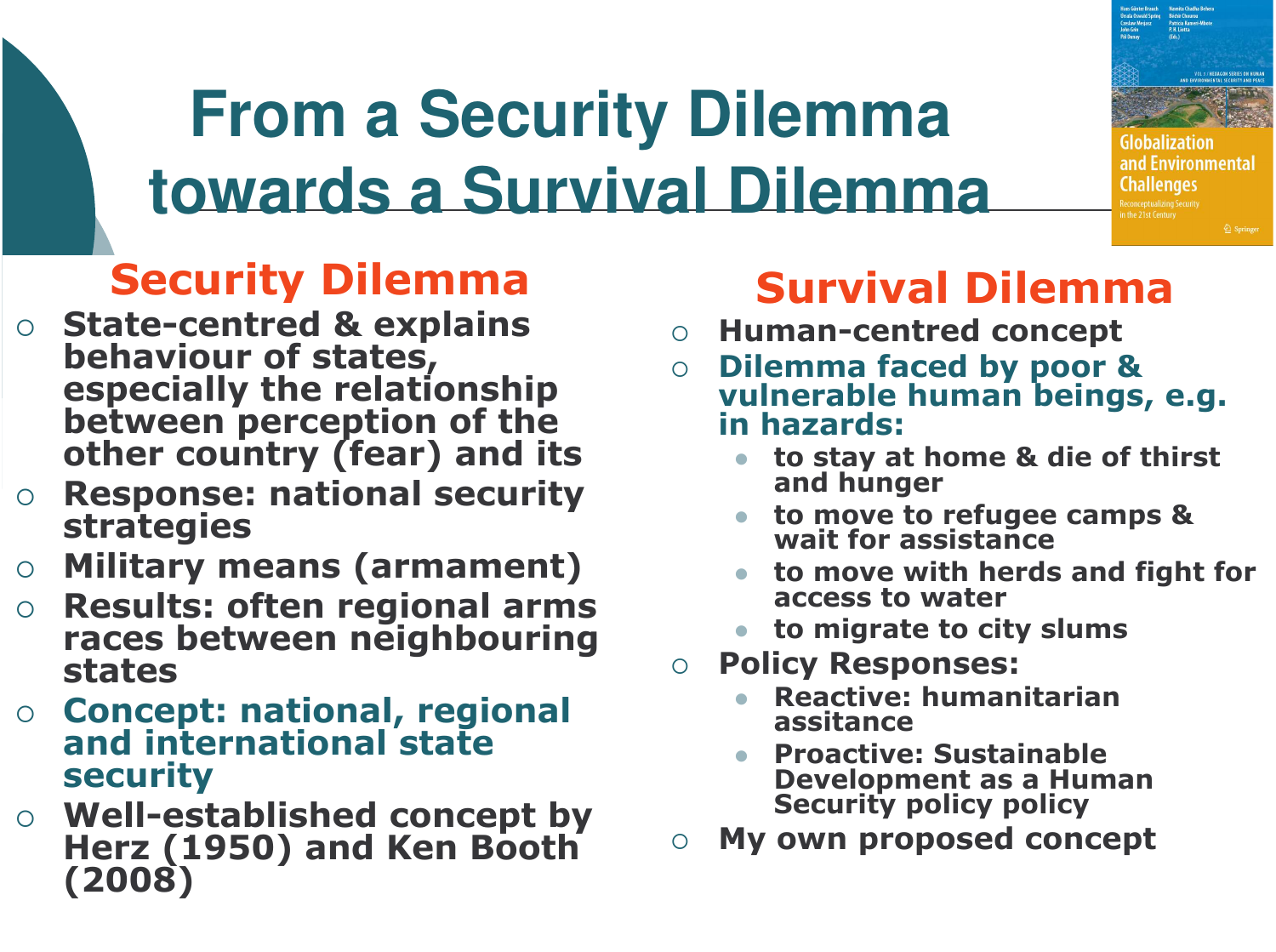

**2** Springer

# **From a Security Dilemma** towards a Survival Dilemma



- State-centred & explains behaviour of states, especially the relationship between perception of the other country (fear) and its
- **Response: national security**  $\circ$ **strategies**
- **Military means (armament)**  $\overline{O}$
- **Results: often regional arms**  $\circ$ races between neighbouring **states**
- Concept: national, regional and international state **security**
- **o** Well-established concept by Herz (1950) and Ken Booth  $(2008)$

### **Survival Dilemma**

- **Human-centred concept**  $\circ$
- **Dilemma faced by poor &**  $\Omega$ vulnerable human beings, e.g. in hazards:
	- to stay at home & die of thirst and hunger
	- to move to refugee camps &  $\bullet$ wait for assistance
	- to move with herds and fight for access to water
	- to migrate to city slums
- **Policy Responses:**  $\Omega$ 
	- **Reactive: humanitarian** assitance
	- **Proactive: Sustainable Development as a Human Security policy policy**
- My own proposed concept  $\overline{O}$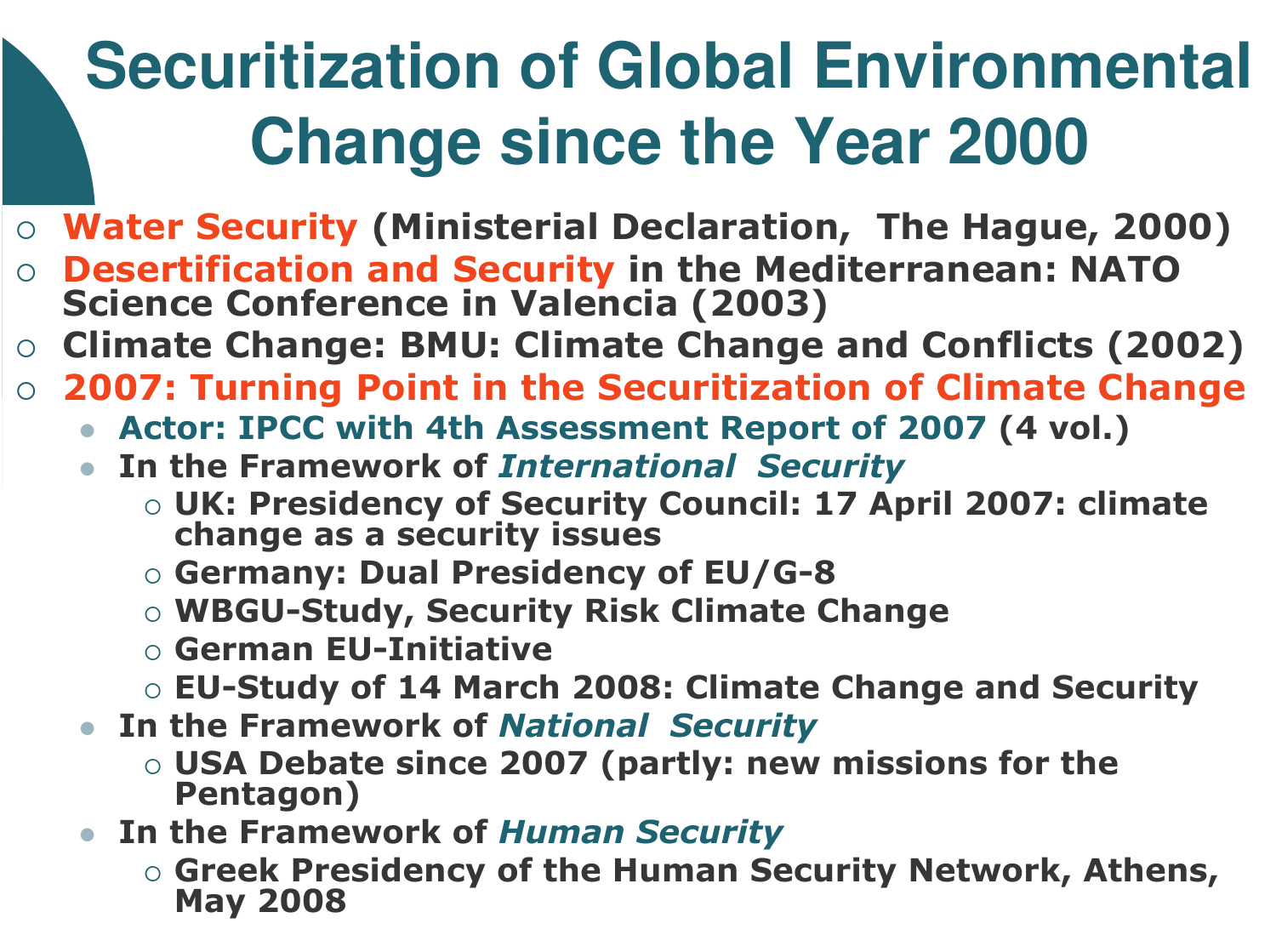# **Securitization of Global Environmental Change since the Year 2000**

- **o Water Security (Ministerial Declaration, The Hague, 2000)**
- **Desertification and Security in the Mediterranean: NATO Science Conference in Valencia (2003)**
- Climate Change: BMU: Climate Change and Conflicts (2002)
- 2007: Turning Point in the Securitization of Climate Change
	- Actor: IPCC with 4th Assessment Report of 2007 (4 vol.)
	- In the Framework of International Security
		- UK: Presidency of Security Council: 17 April 2007: climate change as a security issues
		- Germany: Dual Presidency of EU/G-8
		- o WBGU-Study, Security Risk Climate Change
		- German EU-Initiative
		- EU-Study of 14 March 2008: Climate Change and Security
	- In the Framework of National Security
		- USA Debate since 2007 (partly: new missions for the **Pentagon)**
	- In the Framework of Human Security
		- Greek Presidency of the Human Security Network, Athens, **May 2008**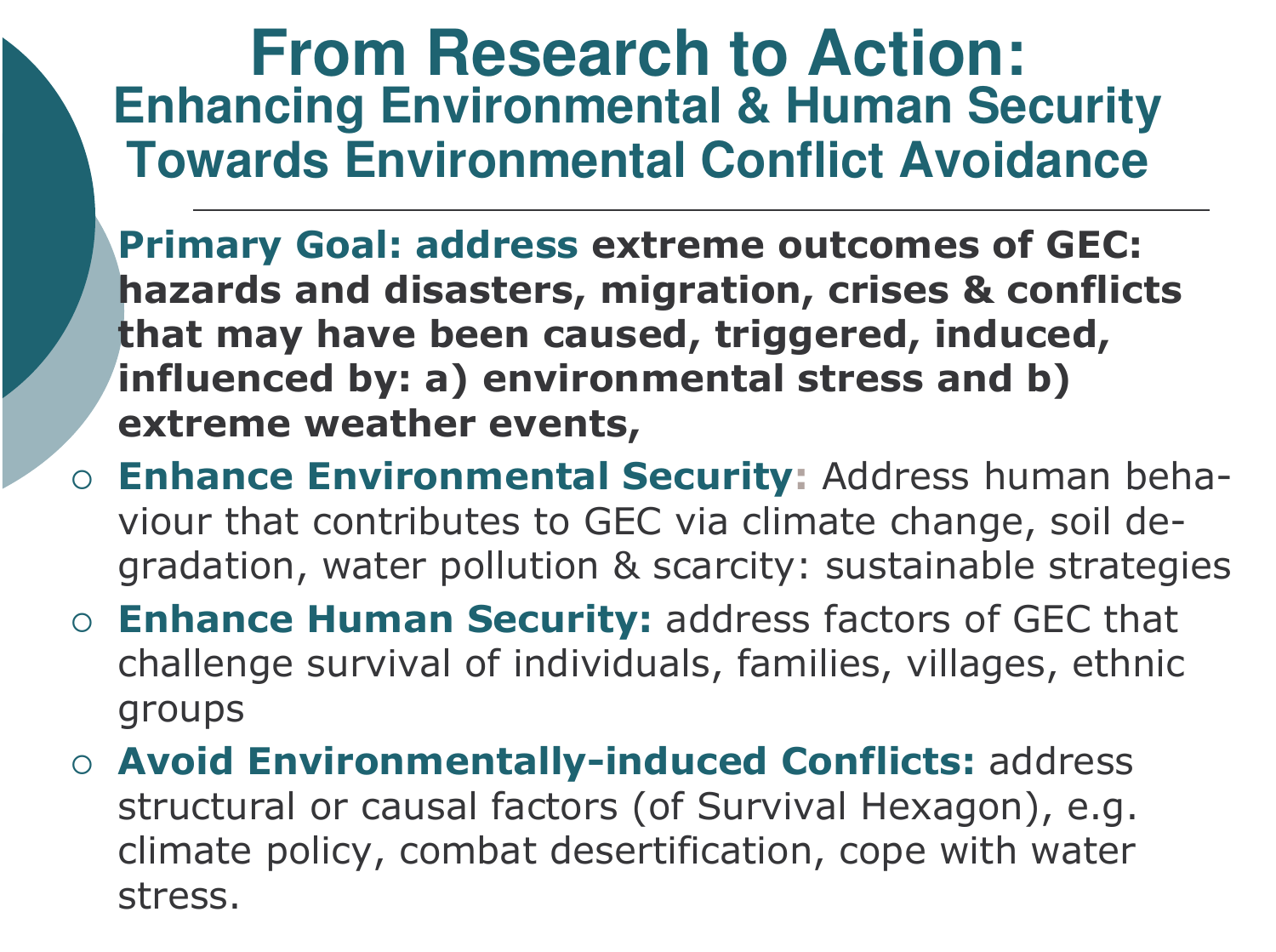### **From Research to Action: Enhancing Environmental & Human Security Towards Environmental Conflict Avoidance**

- **Primary Goal: address extreme outcomes of GEC:** hazards and disasters, migration, crises & conflicts that may have been caused, triggered, induced, influenced by: a) environmental stress and b) extreme weather events,
- o Enhance Environmental Security: Address human behaviour that contributes to GEC via climate change, soil degradation, water pollution & scarcity: sustainable strategies
- **Enhance Human Security: address factors of GEC that** challenge survival of individuals, families, villages, ethnic groups
- o Avoid Environmentally-induced Conflicts: address structural or causal factors (of Survival Hexagon), e.g. climate policy, combat desertification, cope with water stress.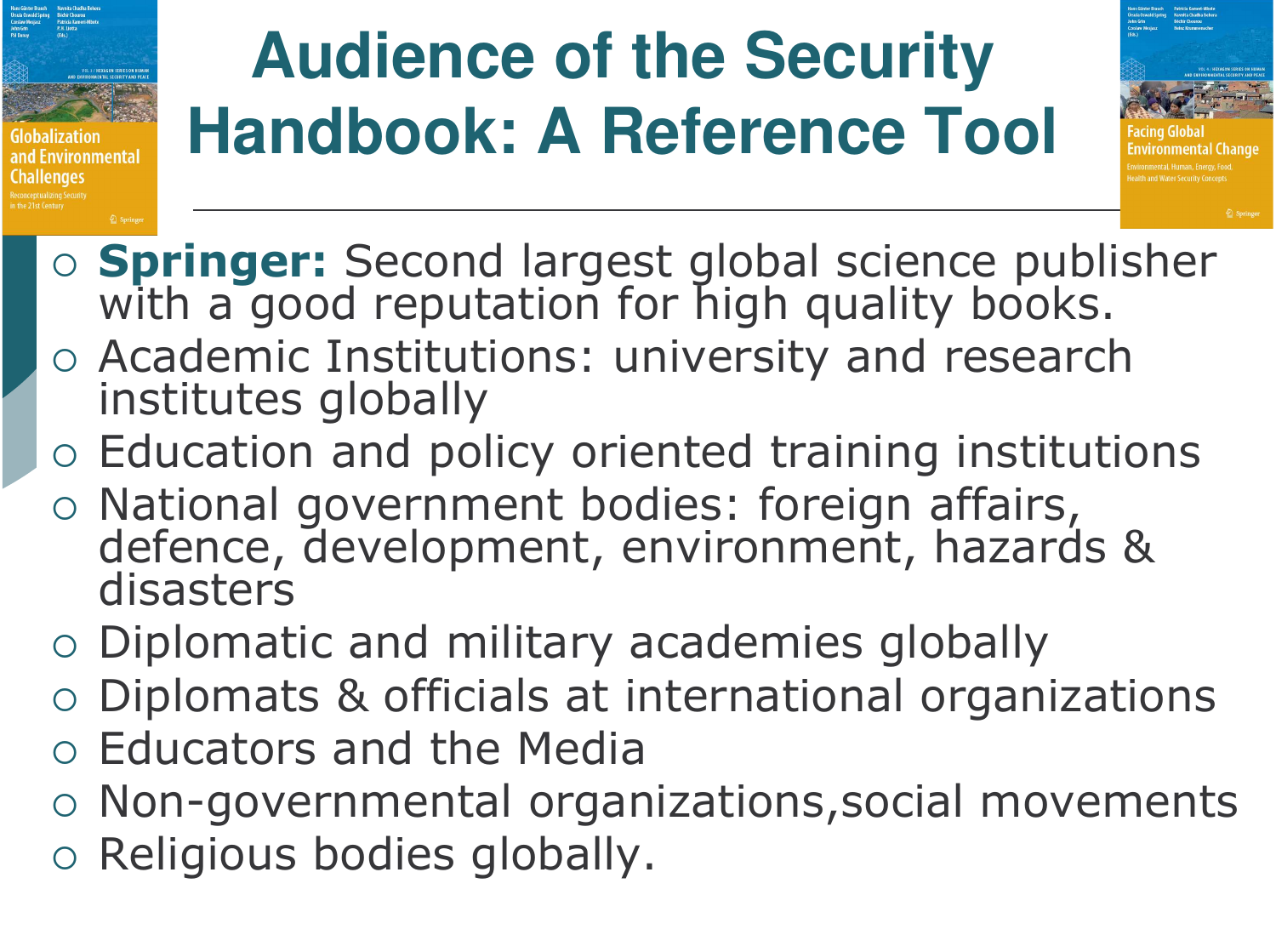

# **Audience of the Security Handbook: A Reference Tool**



- o **Springer:** Second largest global science publisher with a good reputation for high quality books.
- o Academic Institutions: university and research institutes globally
- o Education and policy oriented training institutions
- o National government bodies: foreign affairs, defence, development, environment, hazards & disasters
- o Diplomatic and military academies globally
- Diplomats & officials at international organizations  $\overline{O}$
- o Educators and the Media
- o Non-governmental organizations, social movements
- o Religious bodies globally.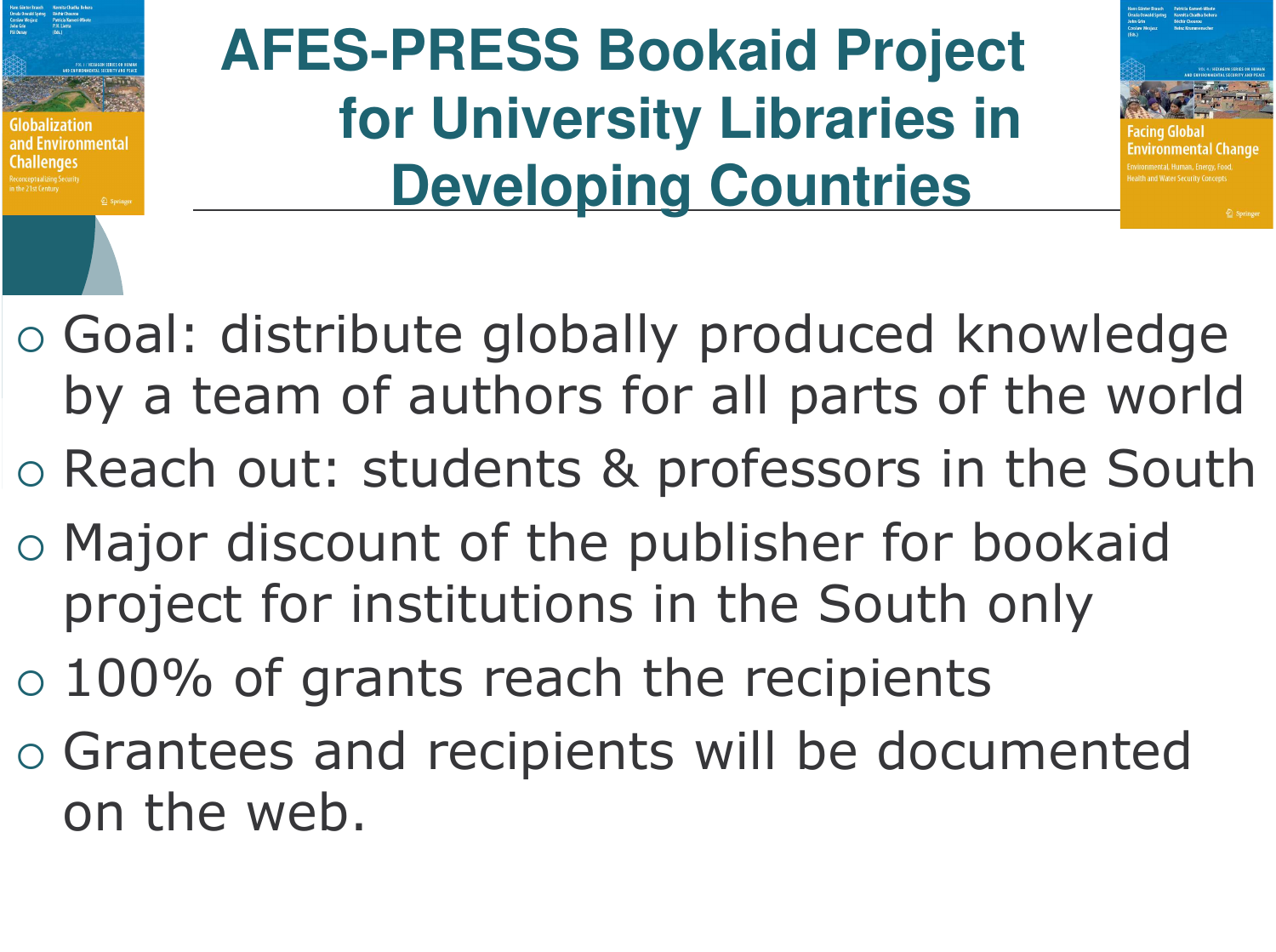

# **AFES-PRESS Bookaid Project for University Libraries in Developing Countries**

- o Goal: distribute globally produced knowledge by a team of authors for all parts of the world
- o Reach out: students & professors in the South
- o Major discount of the publisher for bookaid project for institutions in the South only
- $\circ$  100% of grants reach the recipients
- o Grantees and recipients will be documented on the web.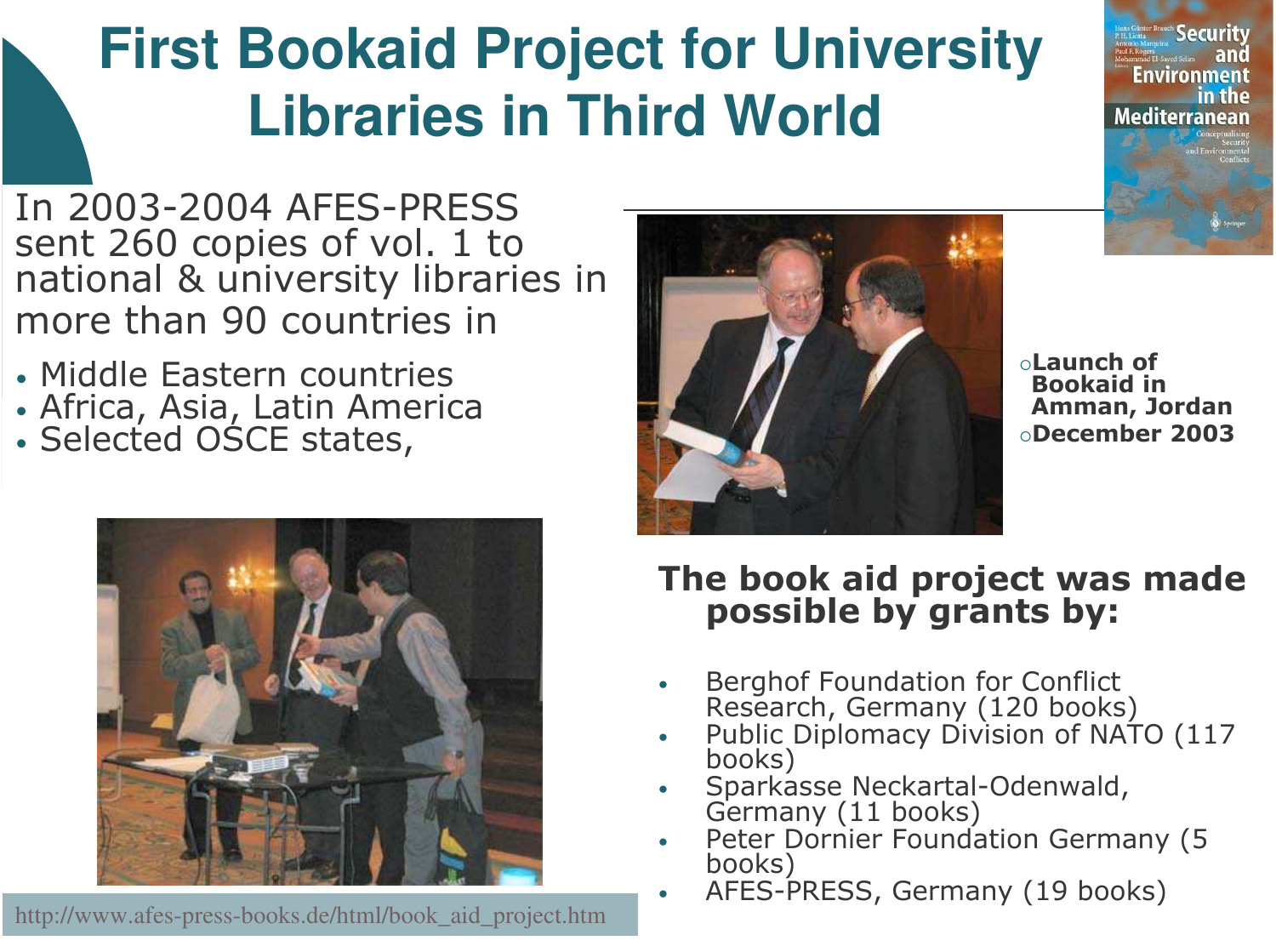## **First Bookaid Project for University Libraries in Third World**

In 2003-2004 AFES-PRESS sent 260 copies of vol. 1 to national & university libraries in more than 90 countries in

- Middle Eastern countries
- · Africa, Asia, Latin America
- · Selected OSCE states,







oLaunch of **Bookaid in** Amman, Jordan oDecember 2003

**Security** 

**Environment** 

**Mediterranean** 

# The book aid project was made<br>possible by grants by:

- **Berghof Foundation for Conflict** Research, Germany (120 books)<br>Public Diplomacy Division of NATO (117
- books)
- Sparkasse Neckartal-Odenwald,<br>Germany (11 books)
- Peter Dornier Foundation Germany (5 books)
- AFES-PRESS, Germany (19 books)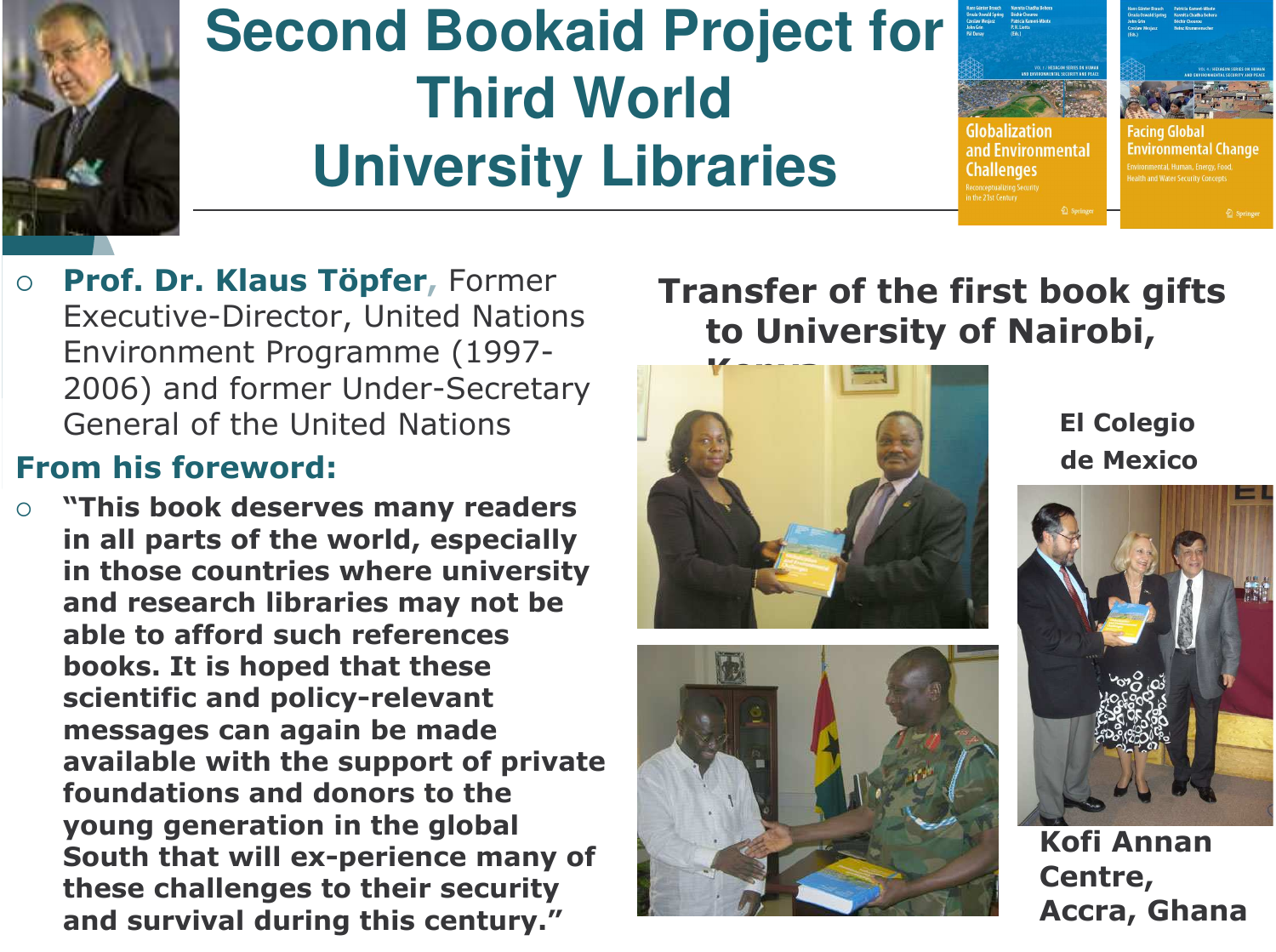

## **Second Bookaid Project for Third World University Libraries**



Prof. Dr. Klaus Töpfer, Former  $\circ$ **Executive-Director, United Nations** Environment Programme (1997-2006) and former Under-Secretary **General of the United Nations** 

#### **From his foreword:**

"This book deserves many readers  $\circ$ in all parts of the world, especially in those countries where university and research libraries may not be able to afford such references books. It is hoped that these scientific and policy-relevant messages can again be made available with the support of private foundations and donors to the young generation in the global South that will ex-perience many of these challenges to their security and survival during this century."

#### **Transfer of the first book gifts** to University of Nairobi,





**El Colegio** de Mexico



**Kofi Annan** Centre, Accra, Ghana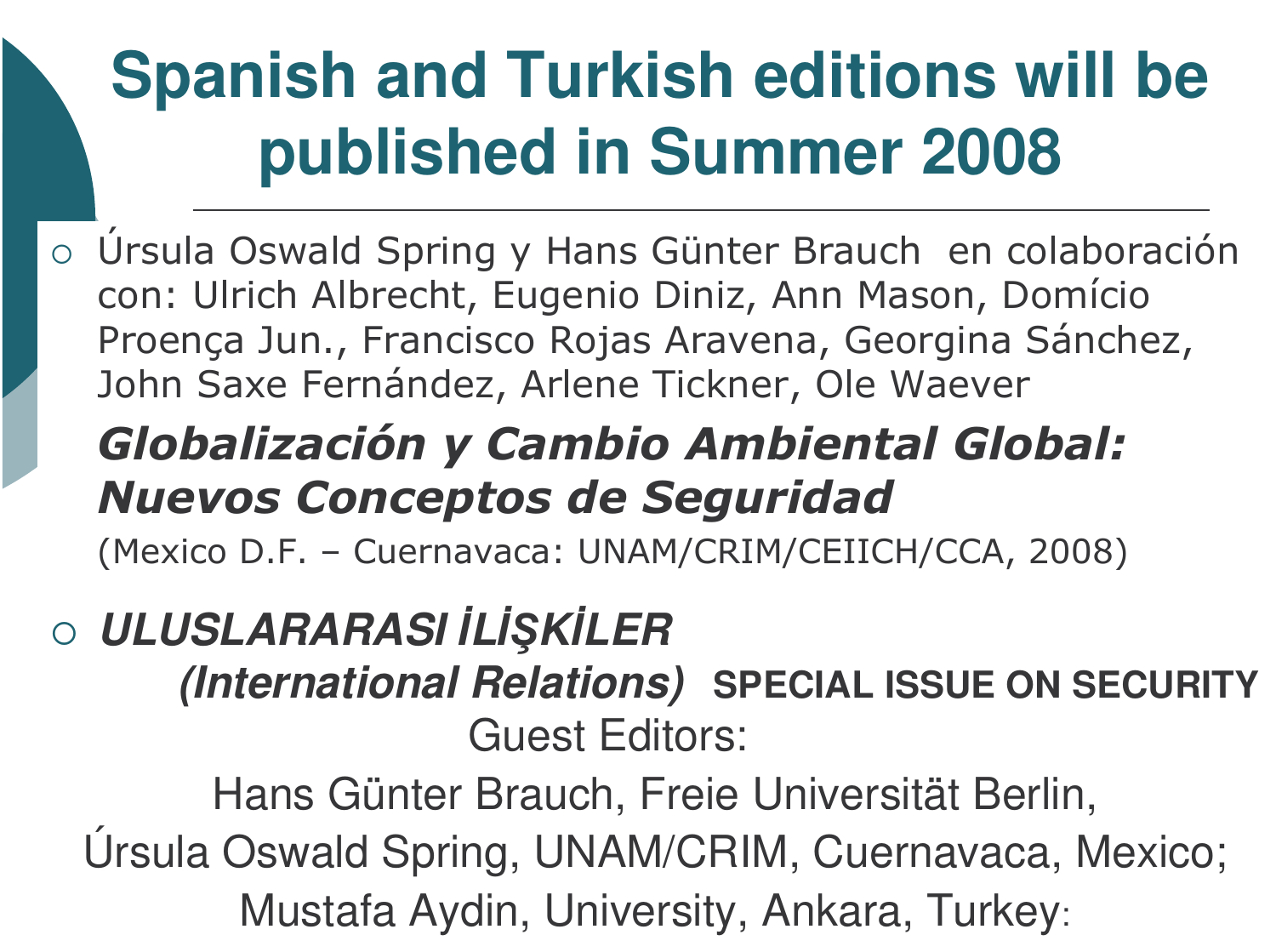# **Spanish and Turkish editions will be** published in Summer 2008

o Úrsula Oswald Spring y Hans Günter Brauch en colaboración con: Ulrich Albrecht, Eugenio Diniz, Ann Mason, Domício Proença Jun., Francisco Rojas Aravena, Georgina Sánchez, John Saxe Fernández, Arlene Tickner, Ole Waever

### **Globalización y Cambio Ambiental Global: Nuevos Conceptos de Seguridad**

(Mexico D.F. - Cuernavaca: UNAM/CRIM/CEIICH/CCA, 2008)

### O ULUSLARARASI İLİŞKİLER (International Relations) SPECIAL ISSUE ON SECURITY **Guest Editors:**

Hans Günter Brauch, Freie Universität Berlin, Úrsula Oswald Spring, UNAM/CRIM, Cuernavaca, Mexico; Mustafa Aydin, University, Ankara, Turkey: